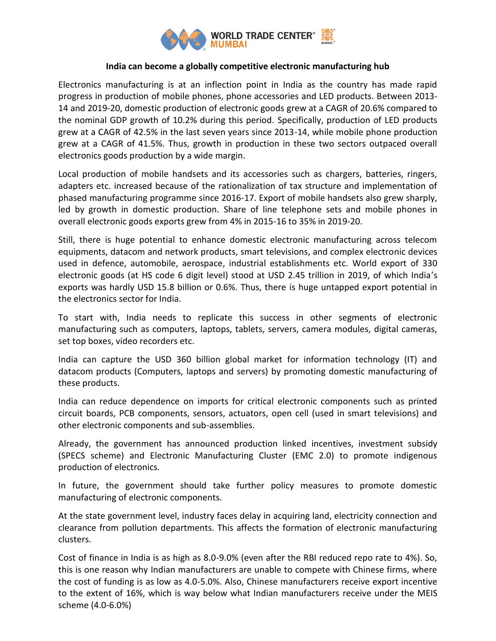

# **India can become a globally competitive electronic manufacturing hub**

Electronics manufacturing is at an inflection point in India as the country has made rapid progress in production of mobile phones, phone accessories and LED products. Between 2013- 14 and 2019-20, domestic production of electronic goods grew at a CAGR of 20.6% compared to the nominal GDP growth of 10.2% during this period. Specifically, production of LED products grew at a CAGR of 42.5% in the last seven years since 2013-14, while mobile phone production grew at a CAGR of 41.5%. Thus, growth in production in these two sectors outpaced overall electronics goods production by a wide margin.

Local production of mobile handsets and its accessories such as chargers, batteries, ringers, adapters etc. increased because of the rationalization of tax structure and implementation of phased manufacturing programme since 2016-17. Export of mobile handsets also grew sharply, led by growth in domestic production. Share of line telephone sets and mobile phones in overall electronic goods exports grew from 4% in 2015-16 to 35% in 2019-20.

Still, there is huge potential to enhance domestic electronic manufacturing across telecom equipments, datacom and network products, smart televisions, and complex electronic devices used in defence, automobile, aerospace, industrial establishments etc. World export of 330 electronic goods (at HS code 6 digit level) stood at USD 2.45 trillion in 2019, of which India's exports was hardly USD 15.8 billion or 0.6%. Thus, there is huge untapped export potential in the electronics sector for India.

To start with, India needs to replicate this success in other segments of electronic manufacturing such as computers, laptops, tablets, servers, camera modules, digital cameras, set top boxes, video recorders etc.

India can capture the USD 360 billion global market for information technology (IT) and datacom products (Computers, laptops and servers) by promoting domestic manufacturing of these products.

India can reduce dependence on imports for critical electronic components such as printed circuit boards, PCB components, sensors, actuators, open cell (used in smart televisions) and other electronic components and sub-assemblies.

Already, the government has announced production linked incentives, investment subsidy (SPECS scheme) and Electronic Manufacturing Cluster (EMC 2.0) to promote indigenous production of electronics.

In future, the government should take further policy measures to promote domestic manufacturing of electronic components.

At the state government level, industry faces delay in acquiring land, electricity connection and clearance from pollution departments. This affects the formation of electronic manufacturing clusters.

Cost of finance in India is as high as 8.0-9.0% (even after the RBI reduced repo rate to 4%). So, this is one reason why Indian manufacturers are unable to compete with Chinese firms, where the cost of funding is as low as 4.0-5.0%. Also, Chinese manufacturers receive export incentive to the extent of 16%, which is way below what Indian manufacturers receive under the MEIS scheme (4.0-6.0%)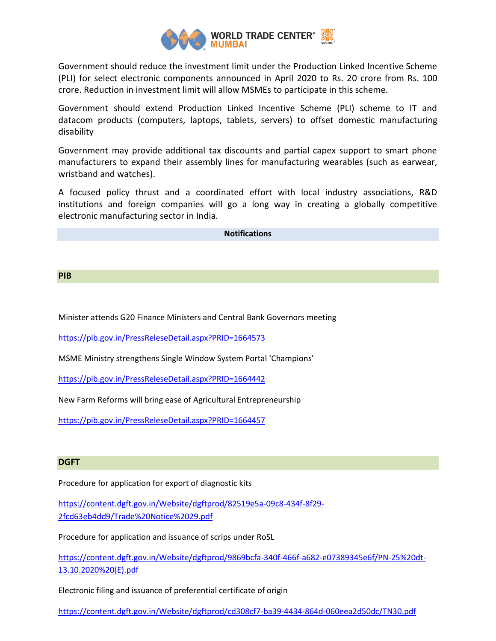

Government should reduce the investment limit under the Production Linked Incentive Scheme (PLI) for select electronic components announced in April 2020 to Rs. 20 crore from Rs. 100 crore. Reduction in investment limit will allow MSMEs to participate in this scheme.

Government should extend Production Linked Incentive Scheme (PLI) scheme to IT and datacom products (computers, laptops, tablets, servers) to offset domestic manufacturing disability

Government may provide additional tax discounts and partial capex support to smart phone manufacturers to expand their assembly lines for manufacturing wearables (such as earwear, wristband and watches).

A focused policy thrust and a coordinated effort with local industry associations, R&D institutions and foreign companies will go a long way in creating a globally competitive electronic manufacturing sector in India.

**Notifications** 

## **PIB**

Minister attends G20 Finance Ministers and Central Bank Governors meeting

<https://pib.gov.in/PressReleseDetail.aspx?PRID=1664573>

MSME Ministry strengthens Single Window System Portal 'Champions'

<https://pib.gov.in/PressReleseDetail.aspx?PRID=1664442>

New Farm Reforms will bring ease of Agricultural Entrepreneurship

<https://pib.gov.in/PressReleseDetail.aspx?PRID=1664457>

#### **DGFT**

Procedure for application for export of diagnostic kits

[https://content.dgft.gov.in/Website/dgftprod/82519e5a-09c8-434f-8f29-](https://content.dgft.gov.in/Website/dgftprod/82519e5a-09c8-434f-8f29-2fcd63eb4dd9/Trade%20Notice%2029.pdf) [2fcd63eb4dd9/Trade%20Notice%2029.pdf](https://content.dgft.gov.in/Website/dgftprod/82519e5a-09c8-434f-8f29-2fcd63eb4dd9/Trade%20Notice%2029.pdf)

Procedure for application and issuance of scrips under RoSL

[https://content.dgft.gov.in/Website/dgftprod/9869bcfa-340f-466f-a682-e07389345e6f/PN-25%20dt-](https://content.dgft.gov.in/Website/dgftprod/9869bcfa-340f-466f-a682-e07389345e6f/PN-25%20dt-13.10.2020%20(E).pdf)[13.10.2020%20\(E\).pdf](https://content.dgft.gov.in/Website/dgftprod/9869bcfa-340f-466f-a682-e07389345e6f/PN-25%20dt-13.10.2020%20(E).pdf)

Electronic filing and issuance of preferential certificate of origin

<https://content.dgft.gov.in/Website/dgftprod/cd308cf7-ba39-4434-864d-060eea2d50dc/TN30.pdf>